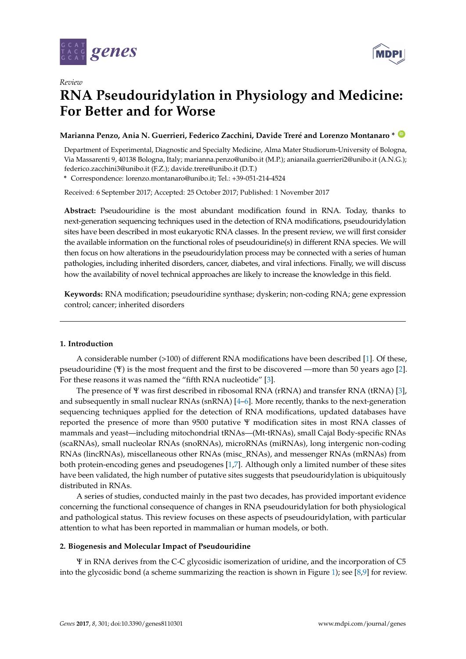



# **RNA Pseudouridylation in Physiology and Medicine: For Better and for Worse**

## **Marianna Penzo, Ania N. Guerrieri, Federico Zacchini, Davide Treré and Lorenzo Montanaro \* [ID](https://orcid.org/0000-0001-9776-9518)**

Department of Experimental, Diagnostic and Specialty Medicine, Alma Mater Studiorum-University of Bologna, Via Massarenti 9, 40138 Bologna, Italy; marianna.penzo@unibo.it (M.P.); anianaila.guerrieri2@unibo.it (A.N.G.); federico.zacchini3@unibo.it (F.Z.); davide.trere@unibo.it (D.T.)

**\*** Correspondence: lorenzo.montanaro@unibo.it; Tel.: +39-051-214-4524

Received: 6 September 2017; Accepted: 25 October 2017; Published: 1 November 2017

**Abstract:** Pseudouridine is the most abundant modification found in RNA. Today, thanks to next-generation sequencing techniques used in the detection of RNA modifications, pseudouridylation sites have been described in most eukaryotic RNA classes. In the present review, we will first consider the available information on the functional roles of pseudouridine(s) in different RNA species. We will then focus on how alterations in the pseudouridylation process may be connected with a series of human pathologies, including inherited disorders, cancer, diabetes, and viral infections. Finally, we will discuss how the availability of novel technical approaches are likely to increase the knowledge in this field.

**Keywords:** RNA modification; pseudouridine synthase; dyskerin; non-coding RNA; gene expression control; cancer; inherited disorders

## **1. Introduction**

A considerable number (>100) of different RNA modifications have been described [\[1\]](#page-8-0). Of these, pseudouridine (Ψ) is the most frequent and the first to be discovered —more than 50 years ago [\[2\]](#page-8-1). For these reasons it was named the "fifth RNA nucleotide" [\[3\]](#page-8-2).

The presence of Ψ was first described in ribosomal RNA (rRNA) and transfer RNA (tRNA) [\[3\]](#page-8-2), and subsequently in small nuclear RNAs (snRNA) [\[4–](#page-8-3)[6\]](#page-8-4). More recently, thanks to the next-generation sequencing techniques applied for the detection of RNA modifications, updated databases have reported the presence of more than 9500 putative Ψ modification sites in most RNA classes of mammals and yeast—including mitochondrial tRNAs—(Mt-tRNAs), small Cajal Body-specific RNAs (scaRNAs), small nucleolar RNAs (snoRNAs), microRNAs (miRNAs), long intergenic non-coding RNAs (lincRNAs), miscellaneous other RNAs (misc\_RNAs), and messenger RNAs (mRNAs) from both protein-encoding genes and pseudogenes [\[1,](#page-8-0)[7\]](#page-8-5). Although only a limited number of these sites have been validated, the high number of putative sites suggests that pseudouridylation is ubiquitously distributed in RNAs.

A series of studies, conducted mainly in the past two decades, has provided important evidence concerning the functional consequence of changes in RNA pseudouridylation for both physiological and pathological status. This review focuses on these aspects of pseudouridylation, with particular attention to what has been reported in mammalian or human models, or both.

## **2. Biogenesis and Molecular Impact of Pseudouridine**

Ψ in RNA derives from the C-C glycosidic isomerization of uridine, and the incorporation of C5 into the glycosidic bond (a scheme summarizing the reaction is shown in Figure [1\)](#page-1-0); see [\[8,](#page-8-6)[9\]](#page-8-7) for review.

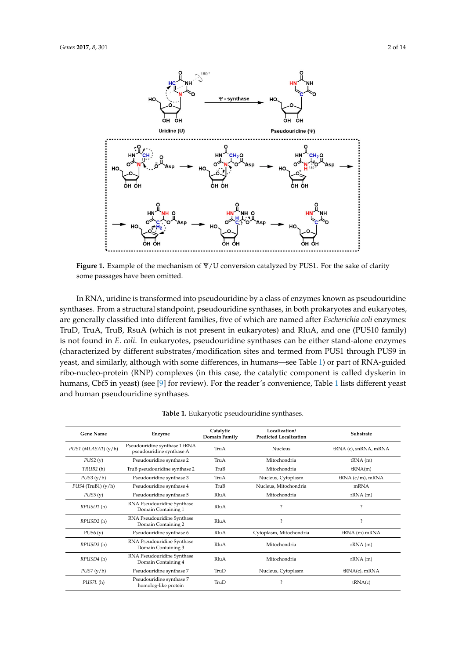<span id="page-1-0"></span>

**Figure 1.** Example of the mechanism of Ψ/U conversion catalyzed by PUS1. For the sake of clarity **Figure 1.** Example of the mechanism of Ψ/U conversion catalyzed by PUS1. For the sake of clarity some passages have been omitted. some passages have been omitted.

In RNA, uridine is transformed into pseudouridine by a class of enzymes known as In RNA, uridine is transformed into pseudouridine by a class of enzymes known as pseudouridine synthases. From a structural standpoint, pseudouridine synthases, in both prokaryotes and eukaryotes, are generally classified into different families, five of which are named after *Escherichia coli* enzymes: TruD, TruA, TruB, RsuA (which is not present in eukaryotes) and RluA, and one (PUS10 family) is not found in *E. coli*. In eukaryotes, pseudouridine synthases can be either stand-alone enzymes (characterized by different substrates/modification sites and termed from PUS1 through PUS9 in  $\frac{1}{2}$  yeast, and similarly, although with some differences, in humans—see Table [1\)](#page-2-0) or part of RNA-guided  $\overrightarrow{r}$  ibo-nucleo-protein (RNP) complexes (in this case, the catalytic component is called dyskerin in humans, Cbf5 in yeast) (see [\[9\]](#page-8-7) for review). For the reader's convenience, Table [1](#page-2-0) lists different yeast and human pseudouridine synthases.

| <b>Gene Name</b>       | Enzyme                                                    | Catalytic<br>Domain Family | Localization/<br><b>Predicted Localization</b> | Substrate                |
|------------------------|-----------------------------------------------------------|----------------------------|------------------------------------------------|--------------------------|
| PUS1 (MLASA1) (y/h)    | Pseudouridine synthase 1 tRNA<br>pseudouridine synthase A | TruA                       | <b>Nucleus</b>                                 | tRNA (c), snRNA, mRNA    |
| PUS2(y)                | Pseudouridine synthase 2                                  | TruA                       | Mitochondria                                   | $tRNA$ (m)               |
| TRUB <sub>2</sub> (h)  | TruB pseudouridine synthase 2                             | TruB                       | Mitochondria                                   | tRNA(m)                  |
| PUS3(y/h)              | Pseudouridine synthase 3                                  | TruA                       | Nucleus, Cytoplasm                             | $tRNA (c/m)$ , mRNA      |
| $PUS4$ (TruB1) $(y/h)$ | Pseudouridine synthase 4                                  | TruB                       | Nucleus, Mitochondria                          | mRNA                     |
| PUS5(y)                | Pseudouridine synthase 5                                  | RluA                       | Mitochondria                                   | rRNA(m)                  |
| RPUSD1(h)              | RNA Pseudouridine Synthase<br>Domain Containing 1         | RluA                       | $\overline{\phantom{a}}$                       | $\overline{\phantom{a}}$ |
| RPUSD <sub>2</sub> (h) | RNA Pseudouridine Synthase<br>Domain Containing 2         | RluA                       | $\overline{\mathcal{E}}$                       | $\overline{\phantom{a}}$ |
| PUS6(y)                | Pseudouridine synthase 6                                  | RluA                       | Cytoplasm, Mitochondria                        | $tRNA$ (m) m $RNA$       |
| RPUSD3 (h)             | RNA Pseudouridine Synthase<br>Domain Containing 3         | RluA                       | Mitochondria                                   | rRNA(m)                  |
| RPUSD4 (h)             | RNA Pseudouridine Synthase<br>Domain Containing 4         | RluA                       | Mitochondria                                   | rRNA(m)                  |
| PUS7(y/h)              | Pseudouridine synthase 7                                  | TruD                       | Nucleus, Cytoplasm                             | $tRNA(c)$ , mRNA         |
| PUS7L(h)               | Pseudouridine synthase 7<br>homolog-like protein          | TruD                       | $\overline{\phantom{a}}$                       | tRNA(c)                  |

**Table 1.** Eukaryotic pseudouridine synthases. **Table 1.** Eukaryotic pseudouridine synthases.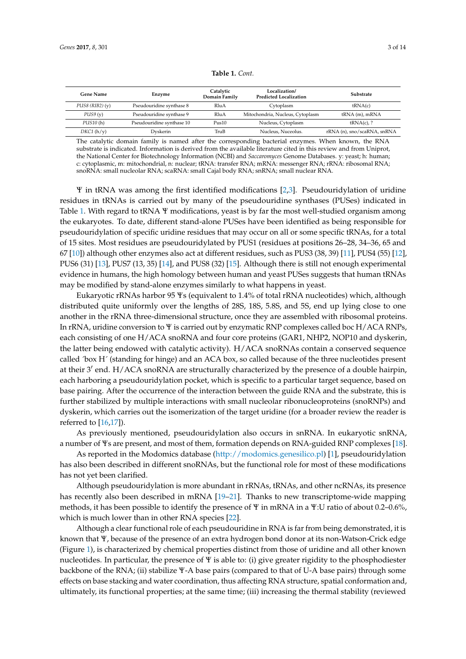<span id="page-2-0"></span>

| Gene Name             | Enzyme                    | Catalytic<br>Domain Family | Localization/<br><b>Predicted Localization</b> | Substrate                   |
|-----------------------|---------------------------|----------------------------|------------------------------------------------|-----------------------------|
| PUSS(RIB2)(y)         | Pseudouridine synthase 8  | RluA                       | Cytoplasm                                      | tRNA(c)                     |
| PUS9(y)               | Pseudouridine synthase 9  | RluA                       | Mitochondria, Nucleus, Cytoplasm               | $tRNA$ (m), mRNA            |
| PUS <sub>10</sub> (h) | Pseudouridine synthase 10 | Pus10                      | Nucleus, Cytoplasm                             | $tRNA(c)$ , ?               |
| DKC1(h/y)             | Dyskerin                  | TruB                       | Nucleus, Nuceolus.                             | rRNA (n), sno/scaRNA, snRNA |

**Table 1.** *Cont.*

The catalytic domain family is named after the corresponding bacterial enzymes. When known, the RNA substrate is indicated. Information is derived from the available literature cited in this review and from Uniprot, the National Center for Biotechnology Information (NCBI) and *Saccaromyces* Genome Databases. y: yeast; h: human; c: cytoplasmic, m: mitochondrial, n: nuclear; tRNA: transfer RNA; mRNA: messenger RNA; rRNA: ribosomal RNA; snoRNA: small nucleolar RNA; scaRNA: small Cajal body RNA; snRNA; small nuclear RNA.

Ψ in tRNA was among the first identified modifications [\[2](#page-8-1)[,3\]](#page-8-2). Pseudouridylation of uridine residues in tRNAs is carried out by many of the pseudouridine synthases (PUSes) indicated in Table [1.](#page-2-0) With regard to tRNA Y modifications, yeast is by far the most well-studied organism among the eukaryotes. To date, different stand-alone PUSes have been identified as being responsible for pseudouridylation of specific uridine residues that may occur on all or some specific tRNAs, for a total of 15 sites. Most residues are pseudouridylated by PUS1 (residues at positions 26–28, 34–36, 65 and 67 [\[10\]](#page-8-8)) although other enzymes also act at different residues, such as PUS3 (38, 39) [\[11\]](#page-8-9), PUS4 (55) [\[12\]](#page-8-10), PUS6 (31) [\[13\]](#page-8-11), PUS7 (13, 35) [\[14\]](#page-8-12), and PUS8 (32) [\[15\]](#page-8-13). Although there is still not enough experimental evidence in humans, the high homology between human and yeast PUSes suggests that human tRNAs may be modified by stand-alone enzymes similarly to what happens in yeast.

Eukaryotic rRNAs harbor 95 Ψs (equivalent to 1.4% of total rRNA nucleotides) which, although distributed quite uniformly over the lengths of 28S, 18S, 5.8S, and 5S, end up lying close to one another in the rRNA three-dimensional structure, once they are assembled with ribosomal proteins. In rRNA, uridine conversion to Ψ is carried out by enzymatic RNP complexes called boc H/ACA RNPs, each consisting of one H/ACA snoRNA and four core proteins (GAR1, NHP2, NOP10 and dyskerin, the latter being endowed with catalytic activity). H/ACA snoRNAs contain a conserved sequence called ´box H´ (standing for hinge) and an ACA box, so called because of the three nucleotides present at their 3' end. H/ACA snoRNA are structurally characterized by the presence of a double hairpin, each harboring a pseudouridylation pocket, which is specific to a particular target sequence, based on base pairing. After the occurrence of the interaction between the guide RNA and the substrate, this is further stabilized by multiple interactions with small nucleolar ribonucleoproteins (snoRNPs) and dyskerin, which carries out the isomerization of the target uridine (for a broader review the reader is referred to [\[16,](#page-8-14)[17\]](#page-8-15)).

As previously mentioned, pseudouridylation also occurs in snRNA. In eukaryotic snRNA, a number of Ψs are present, and most of them, formation depends on RNA-guided RNP complexes [\[18\]](#page-9-0).

As reported in the Modomics database [\(http://modomics.genesilico.pl\)](http://modomics.genesilico.pl) [\[1\]](#page-8-0), pseudouridylation has also been described in different snoRNAs, but the functional role for most of these modifications has not yet been clarified.

Although pseudouridylation is more abundant in rRNAs, tRNAs, and other ncRNAs, its presence has recently also been described in mRNA [\[19](#page-9-1)[–21\]](#page-9-2). Thanks to new transcriptome-wide mapping methods, it has been possible to identify the presence of Ψ in mRNA in a Ψ:U ratio of about 0.2–0.6%, which is much lower than in other RNA species [\[22\]](#page-9-3).

Although a clear functional role of each pseudouridine in RNA is far from being demonstrated, it is known that Ψ, because of the presence of an extra hydrogen bond donor at its non-Watson-Crick edge (Figure [1\)](#page-1-0), is characterized by chemical properties distinct from those of uridine and all other known nucleotides. In particular, the presence of  $\Psi$  is able to: (i) give greater rigidity to the phosphodiester backbone of the RNA; (ii) stabilize Ψ-A base pairs (compared to that of U-A base pairs) through some effects on base stacking and water coordination, thus affecting RNA structure, spatial conformation and, ultimately, its functional properties; at the same time; (iii) increasing the thermal stability (reviewed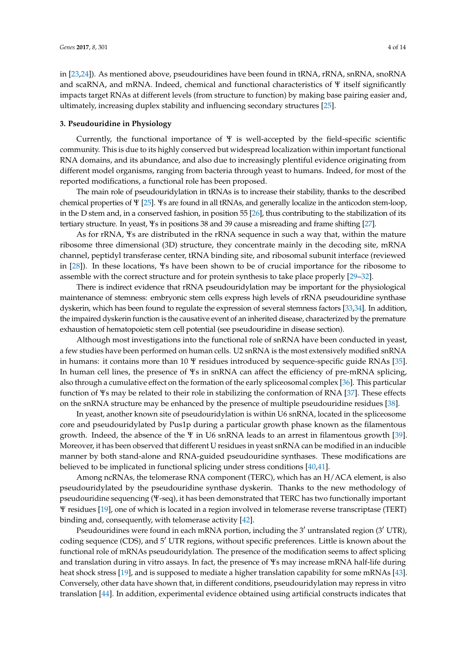in [\[23,](#page-9-4)[24\]](#page-9-5)). As mentioned above, pseudouridines have been found in tRNA, rRNA, snRNA, snoRNA and scaRNA, and mRNA. Indeed, chemical and functional characteristics of Ψ itself significantly impacts target RNAs at different levels (from structure to function) by making base pairing easier and, ultimately, increasing duplex stability and influencing secondary structures [\[25\]](#page-9-6).

#### **3. Pseudouridine in Physiology**

Currently, the functional importance of  $\Psi$  is well-accepted by the field-specific scientific community. This is due to its highly conserved but widespread localization within important functional RNA domains, and its abundance, and also due to increasingly plentiful evidence originating from different model organisms, ranging from bacteria through yeast to humans. Indeed, for most of the reported modifications, a functional role has been proposed.

The main role of pseudouridylation in tRNAs is to increase their stability, thanks to the described chemical properties of Ψ [\[25\]](#page-9-6). Ψs are found in all tRNAs, and generally localize in the anticodon stem-loop, in the D stem and, in a conserved fashion, in position 55 [\[26\]](#page-9-7), thus contributing to the stabilization of its tertiary structure. In yeast, Ψs in positions 38 and 39 cause a misreading and frame shifting [\[27\]](#page-9-8).

As for rRNA, Ψs are distributed in the rRNA sequence in such a way that, within the mature ribosome three dimensional (3D) structure, they concentrate mainly in the decoding site, mRNA channel, peptidyl transferase center, tRNA binding site, and ribosomal subunit interface (reviewed in [\[28\]](#page-9-9)). In these locations, Ψs have been shown to be of crucial importance for the ribosome to assemble with the correct structure and for protein synthesis to take place properly [\[29–](#page-9-10)[32\]](#page-9-11).

There is indirect evidence that rRNA pseudouridylation may be important for the physiological maintenance of stemness: embryonic stem cells express high levels of rRNA pseudouridine synthase dyskerin, which has been found to regulate the expression of several stemness factors [\[33,](#page-9-12)[34\]](#page-9-13). In addition, the impaired dyskerin function is the causative event of an inherited disease, characterized by the premature exhaustion of hematopoietic stem cell potential (see pseudouridine in disease section).

Although most investigations into the functional role of snRNA have been conducted in yeast, a few studies have been performed on human cells. U2 snRNA is the most extensively modified snRNA in humans: it contains more than 10 Ψ residues introduced by sequence-specific guide RNAs [\[35\]](#page-9-14). In human cell lines, the presence of Ψs in snRNA can affect the efficiency of pre-mRNA splicing, also through a cumulative effect on the formation of the early spliceosomal complex [\[36\]](#page-9-15). This particular function of Ψs may be related to their role in stabilizing the conformation of RNA [\[37\]](#page-9-16). These effects on the snRNA structure may be enhanced by the presence of multiple pseudouridine residues [\[38\]](#page-9-17).

In yeast, another known site of pseudouridylation is within U6 snRNA, located in the spliceosome core and pseudouridylated by Pus1p during a particular growth phase known as the filamentous growth. Indeed, the absence of the Ψ in U6 snRNA leads to an arrest in filamentous growth [\[39\]](#page-10-0). Moreover, it has been observed that different U residues in yeast snRNA can be modified in an inducible manner by both stand-alone and RNA-guided pseudouridine synthases. These modifications are believed to be implicated in functional splicing under stress conditions [\[40,](#page-10-1)[41\]](#page-10-2).

Among ncRNAs, the telomerase RNA component (TERC), which has an H/ACA element, is also pseudouridylated by the pseudouridine synthase dyskerin. Thanks to the new methodology of pseudouridine sequencing (Ψ-seq), it has been demonstrated that TERC has two functionally important Ψ residues [\[19\]](#page-9-1), one of which is located in a region involved in telomerase reverse transcriptase (TERT) binding and, consequently, with telomerase activity [\[42\]](#page-10-3).

Pseudouridines were found in each mRNA portion, including the  $3'$  untranslated region ( $3'$  UTR), coding sequence (CDS), and 5<sup>'</sup> UTR regions, without specific preferences. Little is known about the functional role of mRNAs pseudouridylation. The presence of the modification seems to affect splicing and translation during in vitro assays. In fact, the presence of Ψs may increase mRNA half-life during heat shock stress [\[19\]](#page-9-1), and is supposed to mediate a higher translation capability for some mRNAs [\[43\]](#page-10-4). Conversely, other data have shown that, in different conditions, pseudouridylation may repress in vitro translation [\[44\]](#page-10-5). In addition, experimental evidence obtained using artificial constructs indicates that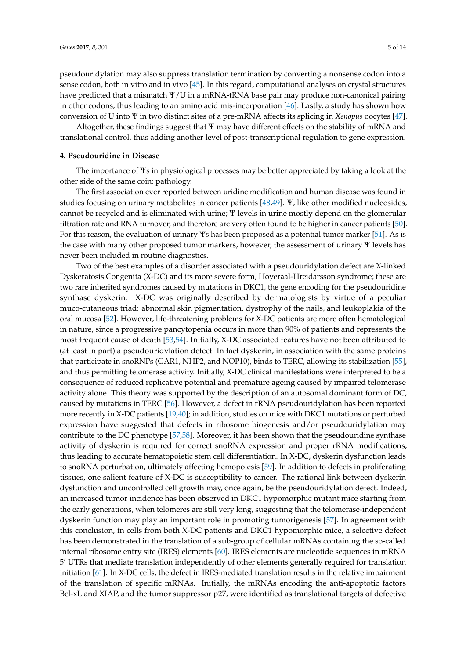pseudouridylation may also suppress translation termination by converting a nonsense codon into a

sense codon, both in vitro and in vivo [\[45\]](#page-10-6). In this regard, computational analyses on crystal structures have predicted that a mismatch Ψ/U in a mRNA-tRNA base pair may produce non-canonical pairing in other codons, thus leading to an amino acid mis-incorporation [\[46\]](#page-10-7). Lastly, a study has shown how conversion of U into Ψ in two distinct sites of a pre-mRNA affects its splicing in *Xenopus* oocytes [\[47\]](#page-10-8).

Altogether, these findings suggest that Ψ may have different effects on the stability of mRNA and translational control, thus adding another level of post-transcriptional regulation to gene expression.

#### **4. Pseudouridine in Disease**

The importance of Ψs in physiological processes may be better appreciated by taking a look at the other side of the same coin: pathology.

The first association ever reported between uridine modification and human disease was found in studies focusing on urinary metabolites in cancer patients [\[48](#page-10-9)[,49\]](#page-10-10). Ψ, like other modified nucleosides, cannot be recycled and is eliminated with urine; Ψ levels in urine mostly depend on the glomerular filtration rate and RNA turnover, and therefore are very often found to be higher in cancer patients [\[50\]](#page-10-11). For this reason, the evaluation of urinary Ψs has been proposed as a potential tumor marker [\[51\]](#page-10-12). As is the case with many other proposed tumor markers, however, the assessment of urinary Ψ levels has never been included in routine diagnostics.

Two of the best examples of a disorder associated with a pseudouridylation defect are X-linked Dyskeratosis Congenita (X-DC) and its more severe form, Hoyeraal-Hreidarsson syndrome; these are two rare inherited syndromes caused by mutations in DKC1, the gene encoding for the pseudouridine synthase dyskerin. X-DC was originally described by dermatologists by virtue of a peculiar muco-cutaneous triad: abnormal skin pigmentation, dystrophy of the nails, and leukoplakia of the oral mucosa [\[52\]](#page-10-13). However, life-threatening problems for X-DC patients are more often hematological in nature, since a progressive pancytopenia occurs in more than 90% of patients and represents the most frequent cause of death [\[53](#page-10-14)[,54\]](#page-10-15). Initially, X-DC associated features have not been attributed to (at least in part) a pseudouridylation defect. In fact dyskerin, in association with the same proteins that participate in snoRNPs (GAR1, NHP2, and NOP10), binds to TERC, allowing its stabilization [\[55\]](#page-10-16), and thus permitting telomerase activity. Initially, X-DC clinical manifestations were interpreted to be a consequence of reduced replicative potential and premature ageing caused by impaired telomerase activity alone. This theory was supported by the description of an autosomal dominant form of DC, caused by mutations in TERC [\[56\]](#page-10-17). However, a defect in rRNA pseudouridylation has been reported more recently in X-DC patients [\[19,](#page-9-1)[40\]](#page-10-1); in addition, studies on mice with DKC1 mutations or perturbed expression have suggested that defects in ribosome biogenesis and/or pseudouridylation may contribute to the DC phenotype [\[57,](#page-10-18)[58\]](#page-10-19). Moreover, it has been shown that the pseudouridine synthase activity of dyskerin is required for correct snoRNA expression and proper rRNA modifications, thus leading to accurate hematopoietic stem cell differentiation. In X-DC, dyskerin dysfunction leads to snoRNA perturbation, ultimately affecting hemopoiesis [\[59\]](#page-10-20). In addition to defects in proliferating tissues, one salient feature of X-DC is susceptibility to cancer. The rational link between dyskerin dysfunction and uncontrolled cell growth may, once again, be the pseudouridylation defect. Indeed, an increased tumor incidence has been observed in DKC1 hypomorphic mutant mice starting from the early generations, when telomeres are still very long, suggesting that the telomerase-independent dyskerin function may play an important role in promoting tumorigenesis [\[57\]](#page-10-18). In agreement with this conclusion, in cells from both X-DC patients and DKC1 hypomorphic mice, a selective defect has been demonstrated in the translation of a sub-group of cellular mRNAs containing the so-called internal ribosome entry site (IRES) elements [\[60\]](#page-11-0). IRES elements are nucleotide sequences in mRNA 5 <sup>0</sup> UTRs that mediate translation independently of other elements generally required for translation initiation [\[61\]](#page-11-1). In X-DC cells, the defect in IRES-mediated translation results in the relative impairment of the translation of specific mRNAs. Initially, the mRNAs encoding the anti-apoptotic factors Bcl-xL and XIAP, and the tumor suppressor p27, were identified as translational targets of defective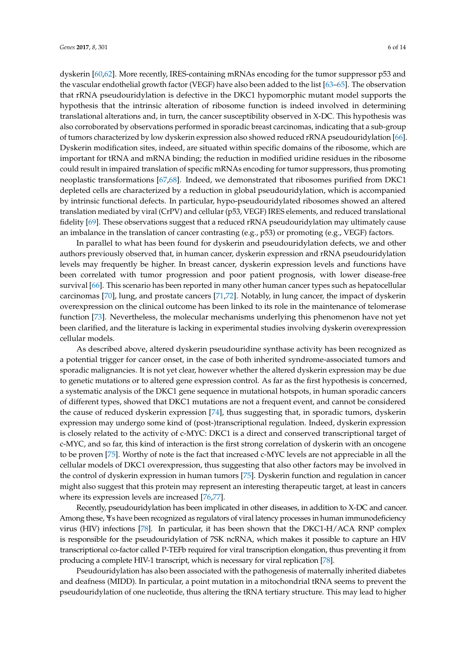dyskerin [\[60](#page-11-0)[,62\]](#page-11-2). More recently, IRES-containing mRNAs encoding for the tumor suppressor p53 and the vascular endothelial growth factor (VEGF) have also been added to the list [\[63–](#page-11-3)[65\]](#page-11-4). The observation that rRNA pseudouridylation is defective in the DKC1 hypomorphic mutant model supports the hypothesis that the intrinsic alteration of ribosome function is indeed involved in determining translational alterations and, in turn, the cancer susceptibility observed in X-DC. This hypothesis was also corroborated by observations performed in sporadic breast carcinomas, indicating that a sub-group of tumors characterized by low dyskerin expression also showed reduced rRNA pseudouridylation [\[66\]](#page-11-5). Dyskerin modification sites, indeed, are situated within specific domains of the ribosome, which are important for tRNA and mRNA binding; the reduction in modified uridine residues in the ribosome could result in impaired translation of specific mRNAs encoding for tumor suppressors, thus promoting neoplastic transformations [\[67,](#page-11-6)[68\]](#page-11-7). Indeed, we demonstrated that ribosomes purified from DKC1 depleted cells are characterized by a reduction in global pseudouridylation, which is accompanied by intrinsic functional defects. In particular, hypo-pseudouridylated ribosomes showed an altered translation mediated by viral (CrPV) and cellular (p53, VEGF) IRES elements, and reduced translational fidelity [\[69\]](#page-11-8). These observations suggest that a reduced rRNA pseudouridylation may ultimately cause an imbalance in the translation of cancer contrasting (e.g., p53) or promoting (e.g., VEGF) factors.

In parallel to what has been found for dyskerin and pseudouridylation defects, we and other authors previously observed that, in human cancer, dyskerin expression and rRNA pseudouridylation levels may frequently be higher. In breast cancer, dyskerin expression levels and functions have been correlated with tumor progression and poor patient prognosis, with lower disease-free survival [\[66\]](#page-11-5). This scenario has been reported in many other human cancer types such as hepatocellular carcinomas [\[70\]](#page-11-9), lung, and prostate cancers [\[71,](#page-11-10)[72\]](#page-11-11). Notably, in lung cancer, the impact of dyskerin overexpression on the clinical outcome has been linked to its role in the maintenance of telomerase function [\[73\]](#page-11-12). Nevertheless, the molecular mechanisms underlying this phenomenon have not yet been clarified, and the literature is lacking in experimental studies involving dyskerin overexpression cellular models.

As described above, altered dyskerin pseudouridine synthase activity has been recognized as a potential trigger for cancer onset, in the case of both inherited syndrome-associated tumors and sporadic malignancies. It is not yet clear, however whether the altered dyskerin expression may be due to genetic mutations or to altered gene expression control. As far as the first hypothesis is concerned, a systematic analysis of the DKC1 gene sequence in mutational hotspots, in human sporadic cancers of different types, showed that DKC1 mutations are not a frequent event, and cannot be considered the cause of reduced dyskerin expression [\[74\]](#page-11-13), thus suggesting that, in sporadic tumors, dyskerin expression may undergo some kind of (post-)transcriptional regulation. Indeed, dyskerin expression is closely related to the activity of c-MYC: DKC1 is a direct and conserved transcriptional target of c-MYC, and so far, this kind of interaction is the first strong correlation of dyskerin with an oncogene to be proven [\[75\]](#page-11-14). Worthy of note is the fact that increased c-MYC levels are not appreciable in all the cellular models of DKC1 overexpression, thus suggesting that also other factors may be involved in the control of dyskerin expression in human tumors [\[75\]](#page-11-14). Dyskerin function and regulation in cancer might also suggest that this protein may represent an interesting therapeutic target, at least in cancers where its expression levels are increased [\[76,](#page-11-15)[77\]](#page-11-16).

Recently, pseudouridylation has been implicated in other diseases, in addition to X-DC and cancer. Among these, Ψs have been recognized as regulators of viral latency processes in human immunodeficiency virus (HIV) infections [\[78\]](#page-11-17). In particular, it has been shown that the DKC1-H/ACA RNP complex is responsible for the pseudouridylation of 7SK ncRNA, which makes it possible to capture an HIV transcriptional co-factor called P-TEFb required for viral transcription elongation, thus preventing it from producing a complete HIV-1 transcript, which is necessary for viral replication [\[78\]](#page-11-17).

Pseudouridylation has also been associated with the pathogenesis of maternally inherited diabetes and deafness (MIDD). In particular, a point mutation in a mitochondrial tRNA seems to prevent the pseudouridylation of one nucleotide, thus altering the tRNA tertiary structure. This may lead to higher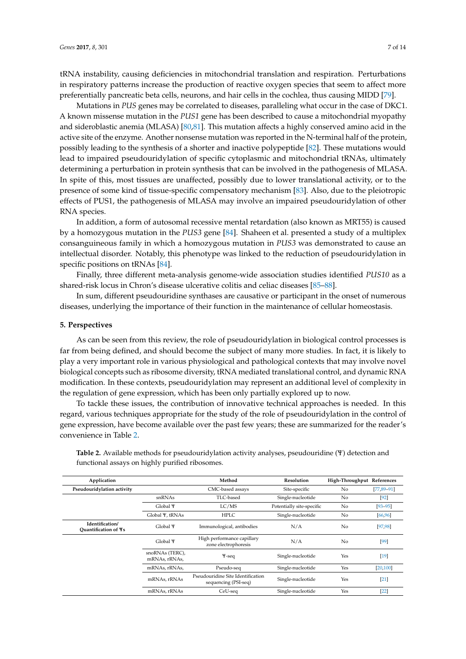tRNA instability, causing deficiencies in mitochondrial translation and respiration. Perturbations in respiratory patterns increase the production of reactive oxygen species that seem to affect more preferentially pancreatic beta cells, neurons, and hair cells in the cochlea, thus causing MIDD [\[79\]](#page-12-0).

Mutations in *PUS* genes may be correlated to diseases, paralleling what occur in the case of DKC1. A known missense mutation in the *PUS1* gene has been described to cause a mitochondrial myopathy and sideroblastic anemia (MLASA) [\[80](#page-12-1)[,81\]](#page-12-2). This mutation affects a highly conserved amino acid in the active site of the enzyme. Another nonsense mutation was reported in the N-terminal half of the protein, possibly leading to the synthesis of a shorter and inactive polypeptide [\[82\]](#page-12-3). These mutations would lead to impaired pseudouridylation of specific cytoplasmic and mitochondrial tRNAs, ultimately determining a perturbation in protein synthesis that can be involved in the pathogenesis of MLASA. In spite of this, most tissues are unaffected, possibly due to lower translational activity, or to the presence of some kind of tissue-specific compensatory mechanism [\[83\]](#page-12-4). Also, due to the pleiotropic effects of PUS1, the pathogenesis of MLASA may involve an impaired pseudouridylation of other RNA species.

In addition, a form of autosomal recessive mental retardation (also known as MRT55) is caused by a homozygous mutation in the *PUS3* gene [\[84\]](#page-12-5). Shaheen et al. presented a study of a multiplex consanguineous family in which a homozygous mutation in *PUS3* was demonstrated to cause an intellectual disorder. Notably, this phenotype was linked to the reduction of pseudouridylation in specific positions on tRNAs [\[84\]](#page-12-5).

Finally, three different meta-analysis genome-wide association studies identified *PUS10* as a shared-risk locus in Chron's disease ulcerative colitis and celiac diseases [\[85–](#page-12-6)[88\]](#page-12-7).

In sum, different pseudouridine synthases are causative or participant in the onset of numerous diseases, underlying the importance of their function in the maintenance of cellular homeostasis.

#### **5. Perspectives**

As can be seen from this review, the role of pseudouridylation in biological control processes is far from being defined, and should become the subject of many more studies. In fact, it is likely to play a very important role in various physiological and pathological contexts that may involve novel biological concepts such as ribosome diversity, tRNA mediated translational control, and dynamic RNA modification. In these contexts, pseudouridylation may represent an additional level of complexity in the regulation of gene expression, which has been only partially explored up to now.

To tackle these issues, the contribution of innovative technical approaches is needed. In this regard, various techniques appropriate for the study of the role of pseudouridylation in the control of gene expression, have become available over the past few years; these are summarized for the reader's convenience in Table [2.](#page-7-0)

| Application                                    |                                  | Method                                                    | Resolution                | High-Throughput References |                 |
|------------------------------------------------|----------------------------------|-----------------------------------------------------------|---------------------------|----------------------------|-----------------|
| Pseudouridylation activity                     |                                  | CMC-based assays                                          | Site-specific             | N <sub>o</sub>             | $[77, 89 - 91]$ |
|                                                | snRNAs                           | TLC-based                                                 | Single-nucleotide         | No                         | $[92]$          |
|                                                | Global <sub>Y</sub>              | LC/MS                                                     | Potentially site-specific | No                         | $[93 - 95]$     |
|                                                | Global Y, tRNAs                  | <b>HPLC</b>                                               | Single-nucleotide         | No                         | [66, 96]        |
| Identification/<br><b>Ouantification of Ys</b> | Global <sub>Y</sub>              | Immunological, antibodies                                 | N/A                       | No                         | [97, 98]        |
|                                                | Global <sub>Y</sub>              | High performance capillary<br>zone electrophoresis        | N/A                       | N <sub>o</sub>             | [99]            |
|                                                | snoRNAs (TERC),<br>mRNAs, rRNAs, | $Y$ -seq                                                  | Single-nucleotide         | Yes                        | $[19]$          |
|                                                | mRNAs, rRNAs,                    | Pseudo-seq                                                | Single-nucleotide         | Yes                        | [20, 100]       |
|                                                | mRNAs, rRNAs                     | Pseudouridine Site Identification<br>sequencing (PSI-seq) | Single-nucleotide         | Yes                        | $[21]$          |
|                                                | mRNAs. rRNAs                     | CeU-seq                                                   | Single-nucleotide         | Yes                        | $[22]$          |

**Table 2.** Available methods for pseudouridylation activity analyses, pseudouridine (Ψ) detection and functional assays on highly purified ribosomes.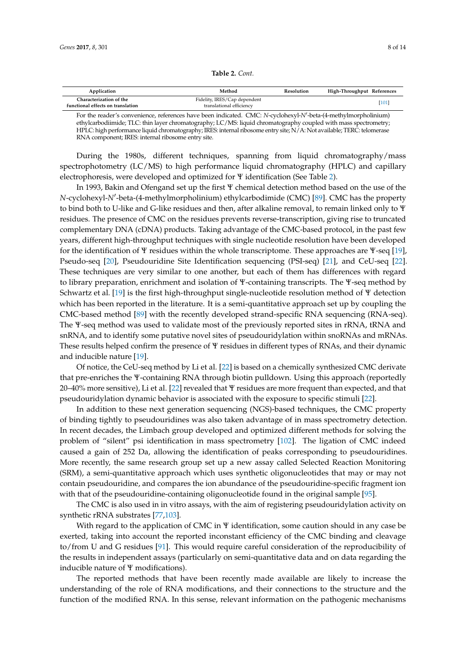| Table 2. Cont. |
|----------------|
|----------------|

<span id="page-7-0"></span>

| Application                                                  | Method                                                   | Resolution | High-Throughput References |
|--------------------------------------------------------------|----------------------------------------------------------|------------|----------------------------|
| Characterization of the<br>functional effects on translation | Fidelity, IRES/Cap dependent<br>translational efficiency |            | [101]                      |

For the reader's convenience, references have been indicated. CMC: *N*-cyclohexyl-*N'*-beta-(4-methylmorpholinium) ethylcarbodiimide; TLC: thin layer chromatography; LC/MS: liquid chromatography coupled with mass spectrometry; HPLC: high performance liquid chromatography; IRES: internal ribosome entry site; N/A: Not available; TERC: telomerase RNA component; IRES: internal ribosome entry site.

During the 1980s, different techniques, spanning from liquid chromatography/mass spectrophotometry (LC/MS) to high performance liquid chromatography (HPLC) and capillary electrophoresis, were developed and optimized for Ψ identification (See Table [2\)](#page-7-0).

In 1993, Bakin and Ofengand set up the first Ψ chemical detection method based on the use of the N-cyclohexyl-*N'*-beta-(4-methylmorpholinium) ethylcarbodimide (CMC) [\[89\]](#page-12-8). CMC has the property to bind both to U-like and G-like residues and then, after alkaline removal, to remain linked only to Ψ residues. The presence of CMC on the residues prevents reverse-transcription, giving rise to truncated complementary DNA (cDNA) products. Taking advantage of the CMC-based protocol, in the past few years, different high-throughput techniques with single nucleotide resolution have been developed for the identification of Ψ residues within the whole transcriptome. These approaches are Ψ-seq [\[19\]](#page-9-1), Pseudo-seq [\[20\]](#page-9-18), Pseudouridine Site Identification sequencing (PSI-seq) [\[21\]](#page-9-2), and CeU-seq [\[22\]](#page-9-3). These techniques are very similar to one another, but each of them has differences with regard to library preparation, enrichment and isolation of Ψ-containing transcripts. The Ψ-seq method by Schwartz et al. [\[19\]](#page-9-1) is the first high-throughput single-nucleotide resolution method of Ψ detection which has been reported in the literature. It is a semi-quantitative approach set up by coupling the CMC-based method [\[89\]](#page-12-8) with the recently developed strand-specific RNA sequencing (RNA-seq). The Ψ-seq method was used to validate most of the previously reported sites in rRNA, tRNA and snRNA, and to identify some putative novel sites of pseudouridylation within snoRNAs and mRNAs. These results helped confirm the presence of Ψ residues in different types of RNAs, and their dynamic and inducible nature [\[19\]](#page-9-1).

Of notice, the CeU-seq method by Li et al. [\[22\]](#page-9-3) is based on a chemically synthesized CMC derivate that pre-enriches the Ψ-containing RNA through biotin pulldown. Using this approach (reportedly 20–40% more sensitive), Li et al. [\[22\]](#page-9-3) revealed that Ψ residues are more frequent than expected, and that pseudouridylation dynamic behavior is associated with the exposure to specific stimuli [\[22\]](#page-9-3).

In addition to these next generation sequencing (NGS)-based techniques, the CMC property of binding tightly to pseudouridines was also taken advantage of in mass spectrometry detection. In recent decades, the Limbach group developed and optimized different methods for solving the problem of "silent" psi identification in mass spectrometry [\[102\]](#page-13-4). The ligation of CMC indeed caused a gain of 252 Da, allowing the identification of peaks corresponding to pseudouridines. More recently, the same research group set up a new assay called Selected Reaction Monitoring (SRM), a semi-quantitative approach which uses synthetic oligonucleotides that may or may not contain pseudouridine, and compares the ion abundance of the pseudouridine-specific fragment ion with that of the pseudouridine-containing oligonucleotide found in the original sample [\[95\]](#page-12-12).

The CMC is also used in in vitro assays, with the aim of registering pseudouridylation activity on synthetic rRNA substrates [\[77,](#page-11-16)[103\]](#page-13-5).

With regard to the application of CMC in  $\Psi$  identification, some caution should in any case be exerted, taking into account the reported inconstant efficiency of the CMC binding and cleavage to/from U and G residues [\[91\]](#page-12-9). This would require careful consideration of the reproducibility of the results in independent assays (particularly on semi-quantitative data and on data regarding the inducible nature of Ψ modifications).

The reported methods that have been recently made available are likely to increase the understanding of the role of RNA modifications, and their connections to the structure and the function of the modified RNA. In this sense, relevant information on the pathogenic mechanisms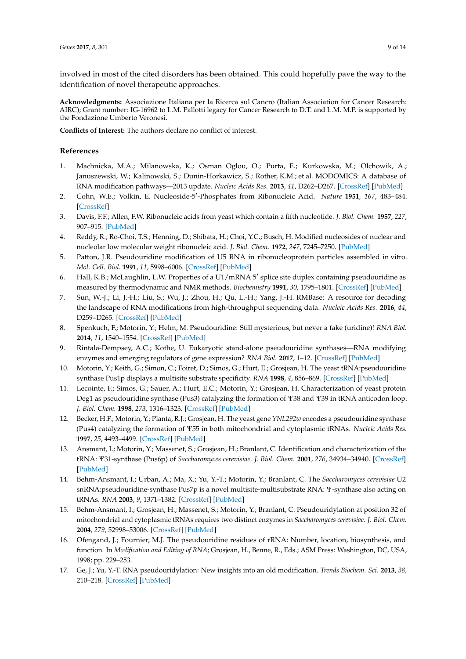involved in most of the cited disorders has been obtained. This could hopefully pave the way to the identification of novel therapeutic approaches.

**Acknowledgments:** Associazione Italiana per la Ricerca sul Cancro (Italian Association for Cancer Research: AIRC); Grant number: IG-16962 to L.M. Pallotti legacy for Cancer Research to D.T. and L.M. M.P. is supported by the Fondazione Umberto Veronesi.

**Conflicts of Interest:** The authors declare no conflict of interest.

### **References**

- <span id="page-8-0"></span>1. Machnicka, M.A.; Milanowska, K.; Osman Oglou, O.; Purta, E.; Kurkowska, M.; Olchowik, A.; Januszewski, W.; Kalinowski, S.; Dunin-Horkawicz, S.; Rother, K.M.; et al. MODOMICS: A database of RNA modification pathways—2013 update. *Nucleic Acids Res.* **2013**, *41*, D262–D267. [\[CrossRef\]](http://dx.doi.org/10.1093/nar/gks1007) [\[PubMed\]](http://www.ncbi.nlm.nih.gov/pubmed/23118484)
- <span id="page-8-1"></span>2. Cohn, W.E.; Volkin, E. Nucleoside-5<sup>'</sup>-Phosphates from Ribonucleic Acid. Nature 1951, 167, 483-484. [\[CrossRef\]](http://dx.doi.org/10.1038/167483a0)
- <span id="page-8-2"></span>3. Davis, F.F.; Allen, F.W. Ribonucleic acids from yeast which contain a fifth nucleotide. *J. Biol. Chem.* **1957**, *227*, 907–915. [\[PubMed\]](http://www.ncbi.nlm.nih.gov/pubmed/13463012)
- <span id="page-8-3"></span>4. Reddy, R.; Ro-Choi, T.S.; Henning, D.; Shibata, H.; Choi, Y.C.; Busch, H. Modified nucleosides of nuclear and nucleolar low molecular weight ribonucleic acid. *J. Biol. Chem.* **1972**, *247*, 7245–7250. [\[PubMed\]](http://www.ncbi.nlm.nih.gov/pubmed/4344644)
- 5. Patton, J.R. Pseudouridine modification of U5 RNA in ribonucleoprotein particles assembled in vitro. *Mol. Cell. Biol.* **1991**, *11*, 5998–6006. [\[CrossRef\]](http://dx.doi.org/10.1128/MCB.11.12.5998) [\[PubMed\]](http://www.ncbi.nlm.nih.gov/pubmed/1719377)
- <span id="page-8-4"></span>6. Hall, K.B.; McLaughlin, L.W. Properties of a U1/mRNA 5' splice site duplex containing pseudouridine as measured by thermodynamic and NMR methods. *Biochemistry* **1991**, *30*, 1795–1801. [\[CrossRef\]](http://dx.doi.org/10.1021/bi00221a010) [\[PubMed\]](http://www.ncbi.nlm.nih.gov/pubmed/1993194)
- <span id="page-8-5"></span>7. Sun, W.-J.; Li, J.-H.; Liu, S.; Wu, J.; Zhou, H.; Qu, L.-H.; Yang, J.-H. RMBase: A resource for decoding the landscape of RNA modifications from high-throughput sequencing data. *Nucleic Acids Res.* **2016**, *44*, D259–D265. [\[CrossRef\]](http://dx.doi.org/10.1093/nar/gkv1036) [\[PubMed\]](http://www.ncbi.nlm.nih.gov/pubmed/26464443)
- <span id="page-8-6"></span>8. Spenkuch, F.; Motorin, Y.; Helm, M. Pseudouridine: Still mysterious, but never a fake (uridine)! *RNA Biol.* **2014**, *11*, 1540–1554. [\[CrossRef\]](http://dx.doi.org/10.4161/15476286.2014.992278) [\[PubMed\]](http://www.ncbi.nlm.nih.gov/pubmed/25616362)
- <span id="page-8-7"></span>9. Rintala-Dempsey, A.C.; Kothe, U. Eukaryotic stand-alone pseudouridine synthases—RNA modifying enzymes and emerging regulators of gene expression? *RNA Biol.* **2017**, 1–12. [\[CrossRef\]](http://dx.doi.org/10.1080/15476286.2016.1276150) [\[PubMed\]](http://www.ncbi.nlm.nih.gov/pubmed/28045575)
- <span id="page-8-8"></span>10. Motorin, Y.; Keith, G.; Simon, C.; Foiret, D.; Simos, G.; Hurt, E.; Grosjean, H. The yeast tRNA:pseudouridine synthase Pus1p displays a multisite substrate specificity. *RNA* **1998**, *4*, 856–869. [\[CrossRef\]](http://dx.doi.org/10.1017/S1355838298980396) [\[PubMed\]](http://www.ncbi.nlm.nih.gov/pubmed/9671058)
- <span id="page-8-9"></span>11. Lecointe, F.; Simos, G.; Sauer, A.; Hurt, E.C.; Motorin, Y.; Grosjean, H. Characterization of yeast protein Deg1 as pseudouridine synthase (Pus3) catalyzing the formation of Ψ38 and Ψ39 in tRNA anticodon loop. *J. Biol. Chem.* **1998**, *273*, 1316–1323. [\[CrossRef\]](http://dx.doi.org/10.1074/jbc.273.3.1316) [\[PubMed\]](http://www.ncbi.nlm.nih.gov/pubmed/9430663)
- <span id="page-8-10"></span>12. Becker, H.F.; Motorin, Y.; Planta, R.J.; Grosjean, H. The yeast gene *YNL292w* encodes a pseudouridine synthase (Pus4) catalyzing the formation of Ψ55 in both mitochondrial and cytoplasmic tRNAs. *Nucleic Acids Res.* **1997**, *25*, 4493–4499. [\[CrossRef\]](http://dx.doi.org/10.1093/nar/25.22.4493) [\[PubMed\]](http://www.ncbi.nlm.nih.gov/pubmed/9358157)
- <span id="page-8-11"></span>13. Ansmant, I.; Motorin, Y.; Massenet, S.; Grosjean, H.; Branlant, C. Identification and characterization of the tRNA: Ψ31-synthase (Pus6p) of *Saccharomyces cerevisiae*. *J. Biol. Chem.* **2001**, *276*, 34934–34940. [\[CrossRef\]](http://dx.doi.org/10.1074/jbc.M103131200) [\[PubMed\]](http://www.ncbi.nlm.nih.gov/pubmed/11406626)
- <span id="page-8-12"></span>14. Behm-Ansmant, I.; Urban, A.; Ma, X.; Yu, Y.-T.; Motorin, Y.; Branlant, C. The *Saccharomyces cerevisiae* U2 snRNA:pseudouridine-synthase Pus7p is a novel multisite-multisubstrate RNA: Ψ-synthase also acting on tRNAs. *RNA* **2003**, *9*, 1371–1382. [\[CrossRef\]](http://dx.doi.org/10.1261/rna.5520403) [\[PubMed\]](http://www.ncbi.nlm.nih.gov/pubmed/14561887)
- <span id="page-8-13"></span>15. Behm-Ansmant, I.; Grosjean, H.; Massenet, S.; Motorin, Y.; Branlant, C. Pseudouridylation at position 32 of mitochondrial and cytoplasmic tRNAs requires two distinct enzymes in *Saccharomyces cerevisiae*. *J. Biol. Chem.* **2004**, *279*, 52998–53006. [\[CrossRef\]](http://dx.doi.org/10.1074/jbc.M409581200) [\[PubMed\]](http://www.ncbi.nlm.nih.gov/pubmed/15466869)
- <span id="page-8-14"></span>16. Ofengand, J.; Fournier, M.J. The pseudouridine residues of rRNA: Number, location, biosynthesis, and function. In *Modification and Editing of RNA*; Grosjean, H., Benne, R., Eds.; ASM Press: Washington, DC, USA, 1998; pp. 229–253.
- <span id="page-8-15"></span>17. Ge, J.; Yu, Y.-T. RNA pseudouridylation: New insights into an old modification. *Trends Biochem. Sci.* **2013**, *38*, 210–218. [\[CrossRef\]](http://dx.doi.org/10.1016/j.tibs.2013.01.002) [\[PubMed\]](http://www.ncbi.nlm.nih.gov/pubmed/23391857)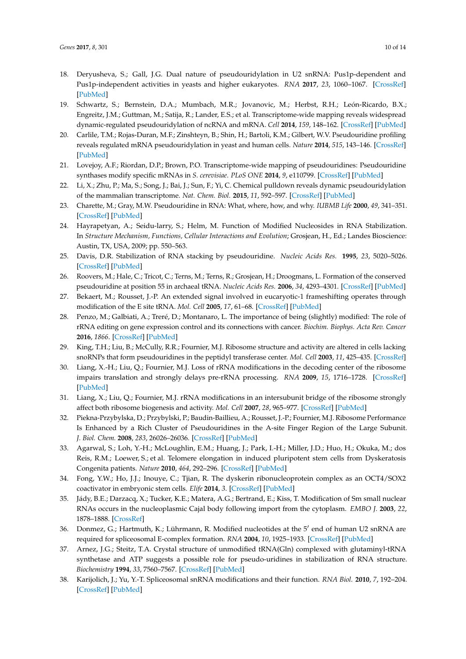- <span id="page-9-0"></span>18. Deryusheva, S.; Gall, J.G. Dual nature of pseudouridylation in U2 snRNA: Pus1p-dependent and Pus1p-independent activities in yeasts and higher eukaryotes. *RNA* **2017**, *23*, 1060–1067. [\[CrossRef\]](http://dx.doi.org/10.1261/rna.061226.117) [\[PubMed\]](http://www.ncbi.nlm.nih.gov/pubmed/28432181)
- <span id="page-9-1"></span>19. Schwartz, S.; Bernstein, D.A.; Mumbach, M.R.; Jovanovic, M.; Herbst, R.H.; León-Ricardo, B.X.; Engreitz, J.M.; Guttman, M.; Satija, R.; Lander, E.S.; et al. Transcriptome-wide mapping reveals widespread dynamic-regulated pseudouridylation of ncRNA and mRNA. *Cell* **2014**, *159*, 148–162. [\[CrossRef\]](http://dx.doi.org/10.1016/j.cell.2014.08.028) [\[PubMed\]](http://www.ncbi.nlm.nih.gov/pubmed/25219674)
- <span id="page-9-18"></span>20. Carlile, T.M.; Rojas-Duran, M.F.; Zinshteyn, B.; Shin, H.; Bartoli, K.M.; Gilbert, W.V. Pseudouridine profiling reveals regulated mRNA pseudouridylation in yeast and human cells. *Nature* **2014**, *515*, 143–146. [\[CrossRef\]](http://dx.doi.org/10.1038/nature13802) [\[PubMed\]](http://www.ncbi.nlm.nih.gov/pubmed/25192136)
- <span id="page-9-2"></span>21. Lovejoy, A.F.; Riordan, D.P.; Brown, P.O. Transcriptome-wide mapping of pseudouridines: Pseudouridine synthases modify specific mRNAs in *S. cerevisiae*. *PLoS ONE* **2014**, *9*, e110799. [\[CrossRef\]](http://dx.doi.org/10.1371/journal.pone.0110799) [\[PubMed\]](http://www.ncbi.nlm.nih.gov/pubmed/25353621)
- <span id="page-9-3"></span>22. Li, X.; Zhu, P.; Ma, S.; Song, J.; Bai, J.; Sun, F.; Yi, C. Chemical pulldown reveals dynamic pseudouridylation of the mammalian transcriptome. *Nat. Chem. Biol.* **2015**, *11*, 592–597. [\[CrossRef\]](http://dx.doi.org/10.1038/nchembio.1836) [\[PubMed\]](http://www.ncbi.nlm.nih.gov/pubmed/26075521)
- <span id="page-9-4"></span>23. Charette, M.; Gray, M.W. Pseudouridine in RNA: What, where, how, and why. *IUBMB Life* **2000**, *49*, 341–351. [\[CrossRef\]](http://dx.doi.org/10.1080/152165400410182) [\[PubMed\]](http://www.ncbi.nlm.nih.gov/pubmed/10902565)
- <span id="page-9-5"></span>24. Hayrapetyan, A.; Seidu-larry, S.; Helm, M. Function of Modified Nucleosides in RNA Stabilization. In *Structure Mechanism, Functions, Cellular Interactions and Evolution*; Grosjean, H., Ed.; Landes Bioscience: Austin, TX, USA, 2009; pp. 550–563.
- <span id="page-9-6"></span>25. Davis, D.R. Stabilization of RNA stacking by pseudouridine. *Nucleic Acids Res.* **1995**, *23*, 5020–5026. [\[CrossRef\]](http://dx.doi.org/10.1093/nar/23.24.5020) [\[PubMed\]](http://www.ncbi.nlm.nih.gov/pubmed/8559660)
- <span id="page-9-7"></span>26. Roovers, M.; Hale, C.; Tricot, C.; Terns, M.; Terns, R.; Grosjean, H.; Droogmans, L. Formation of the conserved pseudouridine at position 55 in archaeal tRNA. *Nucleic Acids Res.* **2006**, *34*, 4293–4301. [\[CrossRef\]](http://dx.doi.org/10.1093/nar/gkl530) [\[PubMed\]](http://www.ncbi.nlm.nih.gov/pubmed/16920741)
- <span id="page-9-8"></span>27. Bekaert, M.; Rousset, J.-P. An extended signal involved in eucaryotic-1 frameshifting operates through modification of the E site tRNA. *Mol. Cell* **2005**, *17*, 61–68. [\[CrossRef\]](http://dx.doi.org/10.1016/j.molcel.2004.12.009) [\[PubMed\]](http://www.ncbi.nlm.nih.gov/pubmed/15629717)
- <span id="page-9-9"></span>28. Penzo, M.; Galbiati, A.; Treré, D.; Montanaro, L. The importance of being (slightly) modified: The role of rRNA editing on gene expression control and its connections with cancer. *Biochim. Biophys. Acta Rev. Cancer* **2016**, *1866*. [\[CrossRef\]](http://dx.doi.org/10.1016/j.bbcan.2016.10.007) [\[PubMed\]](http://www.ncbi.nlm.nih.gov/pubmed/27815156)
- <span id="page-9-10"></span>29. King, T.H.; Liu, B.; McCully, R.R.; Fournier, M.J. Ribosome structure and activity are altered in cells lacking snoRNPs that form pseudouridines in the peptidyl transferase center. *Mol. Cell* **2003**, *11*, 425–435. [\[CrossRef\]](http://dx.doi.org/10.1016/S1097-2765(03)00040-6)
- 30. Liang, X.-H.; Liu, Q.; Fournier, M.J. Loss of rRNA modifications in the decoding center of the ribosome impairs translation and strongly delays pre-rRNA processing. *RNA* **2009**, *15*, 1716–1728. [\[CrossRef\]](http://dx.doi.org/10.1261/rna.1724409) [\[PubMed\]](http://www.ncbi.nlm.nih.gov/pubmed/19628622)
- 31. Liang, X.; Liu, Q.; Fournier, M.J. rRNA modifications in an intersubunit bridge of the ribosome strongly affect both ribosome biogenesis and activity. *Mol. Cell* **2007**, *28*, 965–977. [\[CrossRef\]](http://dx.doi.org/10.1016/j.molcel.2007.10.012) [\[PubMed\]](http://www.ncbi.nlm.nih.gov/pubmed/18158895)
- <span id="page-9-11"></span>32. Piekna-Przybylska, D.; Przybylski, P.; Baudin-Baillieu, A.; Rousset, J.-P.; Fournier, M.J. Ribosome Performance Is Enhanced by a Rich Cluster of Pseudouridines in the A-site Finger Region of the Large Subunit. *J. Biol. Chem.* **2008**, *283*, 26026–26036. [\[CrossRef\]](http://dx.doi.org/10.1074/jbc.M803049200) [\[PubMed\]](http://www.ncbi.nlm.nih.gov/pubmed/18611858)
- <span id="page-9-12"></span>33. Agarwal, S.; Loh, Y.-H.; McLoughlin, E.M.; Huang, J.; Park, I.-H.; Miller, J.D.; Huo, H.; Okuka, M.; dos Reis, R.M.; Loewer, S.; et al. Telomere elongation in induced pluripotent stem cells from Dyskeratosis Congenita patients. *Nature* **2010**, *464*, 292–296. [\[CrossRef\]](http://dx.doi.org/10.1038/nature08792) [\[PubMed\]](http://www.ncbi.nlm.nih.gov/pubmed/20164838)
- <span id="page-9-13"></span>34. Fong, Y.W.; Ho, J.J.; Inouye, C.; Tjian, R. The dyskerin ribonucleoprotein complex as an OCT4/SOX2 coactivator in embryonic stem cells. *Elife* **2014**, *3*. [\[CrossRef\]](http://dx.doi.org/10.7554/eLife.03573) [\[PubMed\]](http://www.ncbi.nlm.nih.gov/pubmed/25407680)
- <span id="page-9-14"></span>35. Jády, B.E.; Darzacq, X.; Tucker, K.E.; Matera, A.G.; Bertrand, E.; Kiss, T. Modification of Sm small nuclear RNAs occurs in the nucleoplasmic Cajal body following import from the cytoplasm. *EMBO J.* **2003**, *22*, 1878–1888. [\[CrossRef\]](http://dx.doi.org/10.1093/emboj/cdg187)
- <span id="page-9-15"></span>36. Donmez, G.; Hartmuth, K.; Lührmann, R. Modified nucleotides at the 5' end of human U2 snRNA are required for spliceosomal E-complex formation. *RNA* **2004**, *10*, 1925–1933. [\[CrossRef\]](http://dx.doi.org/10.1261/rna.7186504) [\[PubMed\]](http://www.ncbi.nlm.nih.gov/pubmed/15525712)
- <span id="page-9-16"></span>37. Arnez, J.G.; Steitz, T.A. Crystal structure of unmodified tRNA(Gln) complexed with glutaminyl-tRNA synthetase and ATP suggests a possible role for pseudo-uridines in stabilization of RNA structure. *Biochemistry* **1994**, *33*, 7560–7567. [\[CrossRef\]](http://dx.doi.org/10.1021/bi00190a008) [\[PubMed\]](http://www.ncbi.nlm.nih.gov/pubmed/8011621)
- <span id="page-9-17"></span>38. Karijolich, J.; Yu, Y.-T. Spliceosomal snRNA modifications and their function. *RNA Biol.* **2010**, *7*, 192–204. [\[CrossRef\]](http://dx.doi.org/10.4161/rna.7.2.11207) [\[PubMed\]](http://www.ncbi.nlm.nih.gov/pubmed/20215871)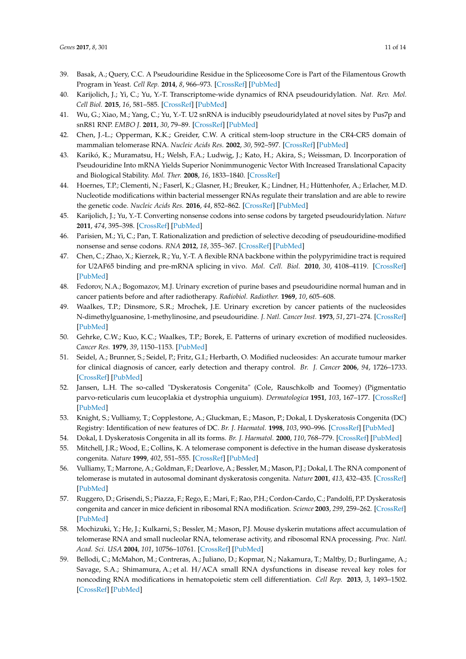- <span id="page-10-0"></span>39. Basak, A.; Query, C.C. A Pseudouridine Residue in the Spliceosome Core is Part of the Filamentous Growth Program in Yeast. *Cell Rep.* **2014**, *8*, 966–973. [\[CrossRef\]](http://dx.doi.org/10.1016/j.celrep.2014.07.004) [\[PubMed\]](http://www.ncbi.nlm.nih.gov/pubmed/25127136)
- <span id="page-10-1"></span>40. Karijolich, J.; Yi, C.; Yu, Y.-T. Transcriptome-wide dynamics of RNA pseudouridylation. *Nat. Rev. Mol. Cell Biol.* **2015**, *16*, 581–585. [\[CrossRef\]](http://dx.doi.org/10.1038/nrm4040) [\[PubMed\]](http://www.ncbi.nlm.nih.gov/pubmed/26285676)
- <span id="page-10-2"></span>41. Wu, G.; Xiao, M.; Yang, C.; Yu, Y.-T. U2 snRNA is inducibly pseudouridylated at novel sites by Pus7p and snR81 RNP. *EMBO J.* **2011**, *30*, 79–89. [\[CrossRef\]](http://dx.doi.org/10.1038/emboj.2010.316) [\[PubMed\]](http://www.ncbi.nlm.nih.gov/pubmed/21131909)
- <span id="page-10-3"></span>42. Chen, J.-L.; Opperman, K.K.; Greider, C.W. A critical stem-loop structure in the CR4-CR5 domain of mammalian telomerase RNA. *Nucleic Acids Res.* **2002**, *30*, 592–597. [\[CrossRef\]](http://dx.doi.org/10.1093/nar/30.2.592) [\[PubMed\]](http://www.ncbi.nlm.nih.gov/pubmed/11788723)
- <span id="page-10-4"></span>43. Karikó, K.; Muramatsu, H.; Welsh, F.A.; Ludwig, J.; Kato, H.; Akira, S.; Weissman, D. Incorporation of Pseudouridine Into mRNA Yields Superior Nonimmunogenic Vector With Increased Translational Capacity and Biological Stability. *Mol. Ther.* **2008**, *16*, 1833–1840. [\[CrossRef\]](http://dx.doi.org/10.1038/mt.2008.200)
- <span id="page-10-5"></span>44. Hoernes, T.P.; Clementi, N.; Faserl, K.; Glasner, H.; Breuker, K.; Lindner, H.; Hüttenhofer, A.; Erlacher, M.D. Nucleotide modifications within bacterial messenger RNAs regulate their translation and are able to rewire the genetic code. *Nucleic Acids Res.* **2016**, *44*, 852–862. [\[CrossRef\]](http://dx.doi.org/10.1093/nar/gkv1182) [\[PubMed\]](http://www.ncbi.nlm.nih.gov/pubmed/26578598)
- <span id="page-10-6"></span>45. Karijolich, J.; Yu, Y.-T. Converting nonsense codons into sense codons by targeted pseudouridylation. *Nature* **2011**, *474*, 395–398. [\[CrossRef\]](http://dx.doi.org/10.1038/nature10165) [\[PubMed\]](http://www.ncbi.nlm.nih.gov/pubmed/21677757)
- <span id="page-10-7"></span>46. Parisien, M.; Yi, C.; Pan, T. Rationalization and prediction of selective decoding of pseudouridine-modified nonsense and sense codons. *RNA* **2012**, *18*, 355–367. [\[CrossRef\]](http://dx.doi.org/10.1261/rna.031351.111) [\[PubMed\]](http://www.ncbi.nlm.nih.gov/pubmed/22282339)
- <span id="page-10-8"></span>47. Chen, C.; Zhao, X.; Kierzek, R.; Yu, Y.-T. A flexible RNA backbone within the polypyrimidine tract is required for U2AF65 binding and pre-mRNA splicing in vivo. *Mol. Cell. Biol.* **2010**, *30*, 4108–4119. [\[CrossRef\]](http://dx.doi.org/10.1128/MCB.00531-10) [\[PubMed\]](http://www.ncbi.nlm.nih.gov/pubmed/20606010)
- <span id="page-10-9"></span>48. Fedorov, N.A.; Bogomazov, M.J. Urinary excretion of purine bases and pseudouridine normal human and in cancer patients before and after radiotherapy. *Radiobiol. Radiother.* **1969**, *10*, 605–608.
- <span id="page-10-10"></span>49. Waalkes, T.P.; Dinsmore, S.R.; Mrochek, J.E. Urinary excretion by cancer patients of the nucleosides N-dimethylguanosine, 1-methylinosine, and pseudouridine. *J. Natl. Cancer Inst.* **1973**, *51*, 271–274. [\[CrossRef\]](http://dx.doi.org/10.1093/jnci/51.1.271) [\[PubMed\]](http://www.ncbi.nlm.nih.gov/pubmed/4720877)
- <span id="page-10-11"></span>50. Gehrke, C.W.; Kuo, K.C.; Waalkes, T.P.; Borek, E. Patterns of urinary excretion of modified nucleosides. *Cancer Res.* **1979**, *39*, 1150–1153. [\[PubMed\]](http://www.ncbi.nlm.nih.gov/pubmed/421198)
- <span id="page-10-12"></span>51. Seidel, A.; Brunner, S.; Seidel, P.; Fritz, G.I.; Herbarth, O. Modified nucleosides: An accurate tumour marker for clinical diagnosis of cancer, early detection and therapy control. *Br. J. Cancer* **2006**, *94*, 1726–1733. [\[CrossRef\]](http://dx.doi.org/10.1038/sj.bjc.6603164) [\[PubMed\]](http://www.ncbi.nlm.nih.gov/pubmed/16685264)
- <span id="page-10-13"></span>52. Jansen, L.H. The so-called "Dyskeratosis Congenita" (Cole, Rauschkolb and Toomey) (Pigmentatio parvo-reticularis cum leucoplakia et dystrophia unguium). *Dermatologica* **1951**, *103*, 167–177. [\[CrossRef\]](http://dx.doi.org/10.1159/000257034) [\[PubMed\]](http://www.ncbi.nlm.nih.gov/pubmed/14872650)
- <span id="page-10-14"></span>53. Knight, S.; Vulliamy, T.; Copplestone, A.; Gluckman, E.; Mason, P.; Dokal, I. Dyskeratosis Congenita (DC) Registry: Identification of new features of DC. *Br. J. Haematol.* **1998**, *103*, 990–996. [\[CrossRef\]](http://dx.doi.org/10.1046/j.1365-2141.1998.01103.x) [\[PubMed\]](http://www.ncbi.nlm.nih.gov/pubmed/9886310)
- <span id="page-10-15"></span>54. Dokal, I. Dyskeratosis Congenita in all its forms. *Br. J. Haematol.* **2000**, *110*, 768–779. [\[CrossRef\]](http://dx.doi.org/10.1046/j.1365-2141.2000.02109.x) [\[PubMed\]](http://www.ncbi.nlm.nih.gov/pubmed/11054058)
- <span id="page-10-16"></span>55. Mitchell, J.R.; Wood, E.; Collins, K. A telomerase component is defective in the human disease dyskeratosis congenita. *Nature* **1999**, *402*, 551–555. [\[CrossRef\]](http://dx.doi.org/10.1038/990141) [\[PubMed\]](http://www.ncbi.nlm.nih.gov/pubmed/10591218)
- <span id="page-10-17"></span>56. Vulliamy, T.; Marrone, A.; Goldman, F.; Dearlove, A.; Bessler, M.; Mason, P.J.; Dokal, I. The RNA component of telomerase is mutated in autosomal dominant dyskeratosis congenita. *Nature* **2001**, *413*, 432–435. [\[CrossRef\]](http://dx.doi.org/10.1038/35096585) [\[PubMed\]](http://www.ncbi.nlm.nih.gov/pubmed/11574891)
- <span id="page-10-18"></span>57. Ruggero, D.; Grisendi, S.; Piazza, F.; Rego, E.; Mari, F.; Rao, P.H.; Cordon-Cardo, C.; Pandolfi, P.P. Dyskeratosis congenita and cancer in mice deficient in ribosomal RNA modification. *Science* **2003**, *299*, 259–262. [\[CrossRef\]](http://dx.doi.org/10.1126/science.1079447) [\[PubMed\]](http://www.ncbi.nlm.nih.gov/pubmed/12522253)
- <span id="page-10-19"></span>58. Mochizuki, Y.; He, J.; Kulkarni, S.; Bessler, M.; Mason, P.J. Mouse dyskerin mutations affect accumulation of telomerase RNA and small nucleolar RNA, telomerase activity, and ribosomal RNA processing. *Proc. Natl. Acad. Sci. USA* **2004**, *101*, 10756–10761. [\[CrossRef\]](http://dx.doi.org/10.1073/pnas.0402560101) [\[PubMed\]](http://www.ncbi.nlm.nih.gov/pubmed/15240872)
- <span id="page-10-20"></span>59. Bellodi, C.; McMahon, M.; Contreras, A.; Juliano, D.; Kopmar, N.; Nakamura, T.; Maltby, D.; Burlingame, A.; Savage, S.A.; Shimamura, A.; et al. H/ACA small RNA dysfunctions in disease reveal key roles for noncoding RNA modifications in hematopoietic stem cell differentiation. *Cell Rep.* **2013**, *3*, 1493–1502. [\[CrossRef\]](http://dx.doi.org/10.1016/j.celrep.2013.04.030) [\[PubMed\]](http://www.ncbi.nlm.nih.gov/pubmed/23707062)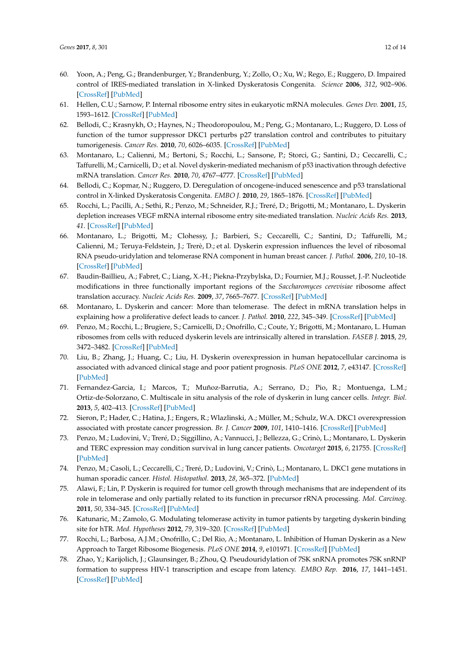- <span id="page-11-0"></span>60. Yoon, A.; Peng, G.; Brandenburger, Y.; Brandenburg, Y.; Zollo, O.; Xu, W.; Rego, E.; Ruggero, D. Impaired control of IRES-mediated translation in X-linked Dyskeratosis Congenita. *Science* **2006**, *312*, 902–906. [\[CrossRef\]](http://dx.doi.org/10.1126/science.1123835) [\[PubMed\]](http://www.ncbi.nlm.nih.gov/pubmed/16690864)
- <span id="page-11-1"></span>61. Hellen, C.U.; Sarnow, P. Internal ribosome entry sites in eukaryotic mRNA molecules. *Genes Dev.* **2001**, *15*, 1593–1612. [\[CrossRef\]](http://dx.doi.org/10.1101/gad.891101) [\[PubMed\]](http://www.ncbi.nlm.nih.gov/pubmed/11445534)
- <span id="page-11-2"></span>62. Bellodi, C.; Krasnykh, O.; Haynes, N.; Theodoropoulou, M.; Peng, G.; Montanaro, L.; Ruggero, D. Loss of function of the tumor suppressor DKC1 perturbs p27 translation control and contributes to pituitary tumorigenesis. *Cancer Res.* **2010**, *70*, 6026–6035. [\[CrossRef\]](http://dx.doi.org/10.1158/0008-5472.CAN-09-4730) [\[PubMed\]](http://www.ncbi.nlm.nih.gov/pubmed/20587522)
- <span id="page-11-3"></span>63. Montanaro, L.; Calienni, M.; Bertoni, S.; Rocchi, L.; Sansone, P.; Storci, G.; Santini, D.; Ceccarelli, C.; Taffurelli, M.; Carnicelli, D.; et al. Novel dyskerin-mediated mechanism of p53 inactivation through defective mRNA translation. *Cancer Res.* **2010**, *70*, 4767–4777. [\[CrossRef\]](http://dx.doi.org/10.1158/0008-5472.CAN-09-4024) [\[PubMed\]](http://www.ncbi.nlm.nih.gov/pubmed/20501855)
- 64. Bellodi, C.; Kopmar, N.; Ruggero, D. Deregulation of oncogene-induced senescence and p53 translational control in X-linked Dyskeratosis Congenita. *EMBO J.* **2010**, *29*, 1865–1876. [\[CrossRef\]](http://dx.doi.org/10.1038/emboj.2010.83) [\[PubMed\]](http://www.ncbi.nlm.nih.gov/pubmed/20453831)
- <span id="page-11-4"></span>65. Rocchi, L.; Pacilli, A.; Sethi, R.; Penzo, M.; Schneider, R.J.; Treré, D.; Brigotti, M.; Montanaro, L. Dyskerin depletion increases VEGF mRNA internal ribosome entry site-mediated translation. *Nucleic Acids Res.* **2013**, *41*. [\[CrossRef\]](http://dx.doi.org/10.1093/nar/gkt587) [\[PubMed\]](http://www.ncbi.nlm.nih.gov/pubmed/23821664)
- <span id="page-11-5"></span>66. Montanaro, L.; Brigotti, M.; Clohessy, J.; Barbieri, S.; Ceccarelli, C.; Santini, D.; Taffurelli, M.; Calienni, M.; Teruya-Feldstein, J.; Trerè, D.; et al. Dyskerin expression influences the level of ribosomal RNA pseudo-uridylation and telomerase RNA component in human breast cancer. *J. Pathol.* **2006**, *210*, 10–18. [\[CrossRef\]](http://dx.doi.org/10.1002/path.2023) [\[PubMed\]](http://www.ncbi.nlm.nih.gov/pubmed/16841302)
- <span id="page-11-6"></span>67. Baudin-Baillieu, A.; Fabret, C.; Liang, X.-H.; Piekna-Przybylska, D.; Fournier, M.J.; Rousset, J.-P. Nucleotide modifications in three functionally important regions of the *Saccharomyces cerevisiae* ribosome affect translation accuracy. *Nucleic Acids Res.* **2009**, *37*, 7665–7677. [\[CrossRef\]](http://dx.doi.org/10.1093/nar/gkp816) [\[PubMed\]](http://www.ncbi.nlm.nih.gov/pubmed/19820108)
- <span id="page-11-7"></span>68. Montanaro, L. Dyskerin and cancer: More than telomerase. The defect in mRNA translation helps in explaining how a proliferative defect leads to cancer. *J. Pathol.* **2010**, *222*, 345–349. [\[CrossRef\]](http://dx.doi.org/10.1002/path.2777) [\[PubMed\]](http://www.ncbi.nlm.nih.gov/pubmed/20925138)
- <span id="page-11-8"></span>69. Penzo, M.; Rocchi, L.; Brugiere, S.; Carnicelli, D.; Onofrillo, C.; Coute, Y.; Brigotti, M.; Montanaro, L. Human ribosomes from cells with reduced dyskerin levels are intrinsically altered in translation. *FASEB J.* **2015**, *29*, 3472–3482. [\[CrossRef\]](http://dx.doi.org/10.1096/fj.15-270991) [\[PubMed\]](http://www.ncbi.nlm.nih.gov/pubmed/25934701)
- <span id="page-11-9"></span>70. Liu, B.; Zhang, J.; Huang, C.; Liu, H. Dyskerin overexpression in human hepatocellular carcinoma is associated with advanced clinical stage and poor patient prognosis. *PLoS ONE* **2012**, *7*, e43147. [\[CrossRef\]](http://dx.doi.org/10.1371/journal.pone.0052675) [\[PubMed\]](http://www.ncbi.nlm.nih.gov/pubmed/23300741)
- <span id="page-11-10"></span>71. Fernandez-Garcia, I.; Marcos, T.; Muñoz-Barrutia, A.; Serrano, D.; Pio, R.; Montuenga, L.M.; Ortiz-de-Solorzano, C. Multiscale in situ analysis of the role of dyskerin in lung cancer cells. *Integr. Biol.* **2013**, *5*, 402–413. [\[CrossRef\]](http://dx.doi.org/10.1039/C2IB20219K) [\[PubMed\]](http://www.ncbi.nlm.nih.gov/pubmed/23233094)
- <span id="page-11-11"></span>72. Sieron, P.; Hader, C.; Hatina, J.; Engers, R.; Wlazlinski, A.; Müller, M.; Schulz, W.A. DKC1 overexpression associated with prostate cancer progression. *Br. J. Cancer* **2009**, *101*, 1410–1416. [\[CrossRef\]](http://dx.doi.org/10.1038/sj.bjc.6605299) [\[PubMed\]](http://www.ncbi.nlm.nih.gov/pubmed/19755982)
- <span id="page-11-12"></span>73. Penzo, M.; Ludovini, V.; Treré, D.; Siggillino, A.; Vannucci, J.; Bellezza, G.; Crinò, L.; Montanaro, L. Dyskerin and TERC expression may condition survival in lung cancer patients. *Oncotarget* **2015**, *6*, 21755. [\[CrossRef\]](http://dx.doi.org/10.18632/oncotarget.4580) [\[PubMed\]](http://www.ncbi.nlm.nih.gov/pubmed/26301749)
- <span id="page-11-13"></span>74. Penzo, M.; Casoli, L.; Ceccarelli, C.; Treré, D.; Ludovini, V.; Crinò, L.; Montanaro, L. DKC1 gene mutations in human sporadic cancer. *Histol. Histopathol.* **2013**, *28*, 365–372. [\[PubMed\]](http://www.ncbi.nlm.nih.gov/pubmed/23348390)
- <span id="page-11-14"></span>75. Alawi, F.; Lin, P. Dyskerin is required for tumor cell growth through mechanisms that are independent of its role in telomerase and only partially related to its function in precursor rRNA processing. *Mol. Carcinog.* **2011**, *50*, 334–345. [\[CrossRef\]](http://dx.doi.org/10.1002/mc.20715) [\[PubMed\]](http://www.ncbi.nlm.nih.gov/pubmed/21480387)
- <span id="page-11-15"></span>76. Katunaric, M.; Zamolo, G. Modulating telomerase activity in tumor patients by targeting dyskerin binding site for hTR. *Med. Hypotheses* **2012**, *79*, 319–320. [\[CrossRef\]](http://dx.doi.org/10.1016/j.mehy.2012.05.021) [\[PubMed\]](http://www.ncbi.nlm.nih.gov/pubmed/22652042)
- <span id="page-11-16"></span>77. Rocchi, L.; Barbosa, A.J.M.; Onofrillo, C.; Del Rio, A.; Montanaro, L. Inhibition of Human Dyskerin as a New Approach to Target Ribosome Biogenesis. *PLoS ONE* **2014**, *9*, e101971. [\[CrossRef\]](http://dx.doi.org/10.1371/journal.pone.0101971) [\[PubMed\]](http://www.ncbi.nlm.nih.gov/pubmed/25010840)
- <span id="page-11-17"></span>78. Zhao, Y.; Karijolich, J.; Glaunsinger, B.; Zhou, Q. Pseudouridylation of 7SK snRNA promotes 7SK snRNP formation to suppress HIV-1 transcription and escape from latency. *EMBO Rep.* **2016**, *17*, 1441–1451. [\[CrossRef\]](http://dx.doi.org/10.15252/embr.201642682) [\[PubMed\]](http://www.ncbi.nlm.nih.gov/pubmed/27558685)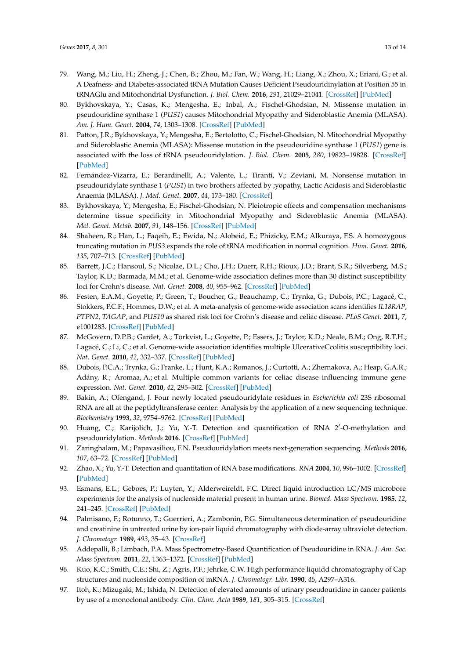- <span id="page-12-0"></span>79. Wang, M.; Liu, H.; Zheng, J.; Chen, B.; Zhou, M.; Fan, W.; Wang, H.; Liang, X.; Zhou, X.; Eriani, G.; et al. A Deafness- and Diabetes-associated tRNA Mutation Causes Deficient Pseudouridinylation at Position 55 in tRNAGlu and Mitochondrial Dysfunction. *J. Biol. Chem.* **2016**, *291*, 21029–21041. [\[CrossRef\]](http://dx.doi.org/10.1074/jbc.M116.739482) [\[PubMed\]](http://www.ncbi.nlm.nih.gov/pubmed/27519417)
- <span id="page-12-1"></span>80. Bykhovskaya, Y.; Casas, K.; Mengesha, E.; Inbal, A.; Fischel-Ghodsian, N. Missense mutation in pseudouridine synthase 1 (*PUS1*) causes Mitochondrial Myopathy and Sideroblastic Anemia (MLASA). *Am. J. Hum. Genet.* **2004**, *74*, 1303–1308. [\[CrossRef\]](http://dx.doi.org/10.1086/421530) [\[PubMed\]](http://www.ncbi.nlm.nih.gov/pubmed/15108122)
- <span id="page-12-2"></span>81. Patton, J.R.; Bykhovskaya, Y.; Mengesha, E.; Bertolotto, C.; Fischel-Ghodsian, N. Mitochondrial Myopathy and Sideroblastic Anemia (MLASA): Missense mutation in the pseudouridine synthase 1 (*PUS1*) gene is associated with the loss of tRNA pseudouridylation. *J. Biol. Chem.* **2005**, *280*, 19823–19828. [\[CrossRef\]](http://dx.doi.org/10.1074/jbc.M500216200) [\[PubMed\]](http://www.ncbi.nlm.nih.gov/pubmed/15772074)
- <span id="page-12-3"></span>82. Fernández-Vizarra, E.; Berardinelli, A.; Valente, L.; Tiranti, V.; Zeviani, M. Nonsense mutation in pseudouridylate synthase 1 (*PUS1*) in two brothers affected by ;yopathy, Lactic Acidosis and Sideroblastic Anaemia (MLASA). *J. Med. Genet.* **2007**, *44*, 173–180. [\[CrossRef\]](http://dx.doi.org/10.1136/jmg.2006.045252)
- <span id="page-12-4"></span>83. Bykhovskaya, Y.; Mengesha, E.; Fischel-Ghodsian, N. Pleiotropic effects and compensation mechanisms determine tissue specificity in Mitochondrial Myopathy and Sideroblastic Anemia (MLASA). *Mol. Genet. Metab.* **2007**, *91*, 148–156. [\[CrossRef\]](http://dx.doi.org/10.1016/j.ymgme.2007.02.006) [\[PubMed\]](http://www.ncbi.nlm.nih.gov/pubmed/17374500)
- <span id="page-12-5"></span>84. Shaheen, R.; Han, L.; Faqeih, E.; Ewida, N.; Alobeid, E.; Phizicky, E.M.; Alkuraya, F.S. A homozygous truncating mutation in *PUS3* expands the role of tRNA modification in normal cognition. *Hum. Genet.* **2016**, *135*, 707–713. [\[CrossRef\]](http://dx.doi.org/10.1007/s00439-016-1665-7) [\[PubMed\]](http://www.ncbi.nlm.nih.gov/pubmed/27055666)
- <span id="page-12-6"></span>85. Barrett, J.C.; Hansoul, S.; Nicolae, D.L.; Cho, J.H.; Duerr, R.H.; Rioux, J.D.; Brant, S.R.; Silverberg, M.S.; Taylor, K.D.; Barmada, M.M.; et al. Genome-wide association defines more than 30 distinct susceptibility loci for Crohn's disease. *Nat. Genet.* **2008**, *40*, 955–962. [\[CrossRef\]](http://dx.doi.org/10.1038/ng.175) [\[PubMed\]](http://www.ncbi.nlm.nih.gov/pubmed/18587394)
- 86. Festen, E.A.M.; Goyette, P.; Green, T.; Boucher, G.; Beauchamp, C.; Trynka, G.; Dubois, P.C.; Lagacé, C.; Stokkers, P.C.F.; Hommes, D.W.; et al. A meta-analysis of genome-wide association scans identifies *IL18RAP*, *PTPN2*, *TAGAP*, and *PUS10* as shared risk loci for Crohn's disease and celiac disease. *PLoS Genet.* **2011**, *7*, e1001283. [\[CrossRef\]](http://dx.doi.org/10.1371/journal.pgen.1001283) [\[PubMed\]](http://www.ncbi.nlm.nih.gov/pubmed/21298027)
- 87. McGovern, D.P.B.; Gardet, A.; Törkvist, L.; Goyette, P.; Essers, J.; Taylor, K.D.; Neale, B.M.; Ong, R.T.H.; Lagacé, C.; Li, C.; et al. Genome-wide association identifies multiple UlcerativeCcolitis susceptibility loci. *Nat. Genet.* **2010**, *42*, 332–337. [\[CrossRef\]](http://dx.doi.org/10.1038/ng.549) [\[PubMed\]](http://www.ncbi.nlm.nih.gov/pubmed/20228799)
- <span id="page-12-7"></span>88. Dubois, P.C.A.; Trynka, G.; Franke, L.; Hunt, K.A.; Romanos, J.; Curtotti, A.; Zhernakova, A.; Heap, G.A.R.; Adány, R.; Aromaa, A.; et al. Multiple common variants for celiac disease influencing immune gene expression. *Nat. Genet.* **2010**, *42*, 295–302. [\[CrossRef\]](http://dx.doi.org/10.1038/ng.543) [\[PubMed\]](http://www.ncbi.nlm.nih.gov/pubmed/20190752)
- <span id="page-12-8"></span>89. Bakin, A.; Ofengand, J. Four newly located pseudouridylate residues in *Escherichia coli* 23S ribosomal RNA are all at the peptidyltransferase center: Analysis by the application of a new sequencing technique. *Biochemistry* **1993**, *32*, 9754–9762. [\[CrossRef\]](http://dx.doi.org/10.1021/bi00088a030) [\[PubMed\]](http://www.ncbi.nlm.nih.gov/pubmed/8373778)
- 90. Huang, C.; Karijolich, J.; Yu, Y.-T. Detection and quantification of RNA 2'-O-methylation and pseudouridylation. *Methods* **2016**. [\[CrossRef\]](http://dx.doi.org/10.1016/j.ymeth.2016.02.003) [\[PubMed\]](http://www.ncbi.nlm.nih.gov/pubmed/26853326)
- <span id="page-12-9"></span>91. Zaringhalam, M.; Papavasiliou, F.N. Pseudouridylation meets next-generation sequencing. *Methods* **2016**, *107*, 63–72. [\[CrossRef\]](http://dx.doi.org/10.1016/j.ymeth.2016.03.001) [\[PubMed\]](http://www.ncbi.nlm.nih.gov/pubmed/26968262)
- <span id="page-12-10"></span>92. Zhao, X.; Yu, Y.-T. Detection and quantitation of RNA base modifications. *RNA* **2004**, *10*, 996–1002. [\[CrossRef\]](http://dx.doi.org/10.1261/rna.7110804) [\[PubMed\]](http://www.ncbi.nlm.nih.gov/pubmed/15146083)
- <span id="page-12-11"></span>93. Esmans, E.L.; Geboes, P.; Luyten, Y.; Alderweireldt, F.C. Direct liquid introduction LC/MS microbore experiments for the analysis of nucleoside material present in human urine. *Biomed. Mass Spectrom.* **1985**, *12*, 241–245. [\[CrossRef\]](http://dx.doi.org/10.1002/bms.1200120511) [\[PubMed\]](http://www.ncbi.nlm.nih.gov/pubmed/3161555)
- 94. Palmisano, F.; Rotunno, T.; Guerrieri, A.; Zambonin, P.G. Simultaneous determination of pseudouridine and creatinine in untreated urine by ion-pair liquid chromatography with diode-array ultraviolet detection. *J. Chromatogr.* **1989**, *493*, 35–43. [\[CrossRef\]](http://dx.doi.org/10.1016/S0378-4347(00)82706-1)
- <span id="page-12-12"></span>95. Addepalli, B.; Limbach, P.A. Mass Spectrometry-Based Quantification of Pseudouridine in RNA. *J. Am. Soc. Mass Spectrom.* **2011**, *22*, 1363–1372. [\[CrossRef\]](http://dx.doi.org/10.1007/s13361-011-0137-5) [\[PubMed\]](http://www.ncbi.nlm.nih.gov/pubmed/21953190)
- <span id="page-12-13"></span>96. Kuo, K.C.; Smith, C.E.; Shi, Z.; Agris, P.F.; Jehrke, C.W. High performance liquidd chromatography of Cap structures and nucleoside composition of mRNA. *J. Chromatogr. Libr.* **1990**, *45*, A297–A316.
- <span id="page-12-14"></span>97. Itoh, K.; Mizugaki, M.; Ishida, N. Detection of elevated amounts of urinary pseudouridine in cancer patients by use of a monoclonal antibody. *Clin. Chim. Acta* **1989**, *181*, 305–315. [\[CrossRef\]](http://dx.doi.org/10.1016/0009-8981(89)90236-2)